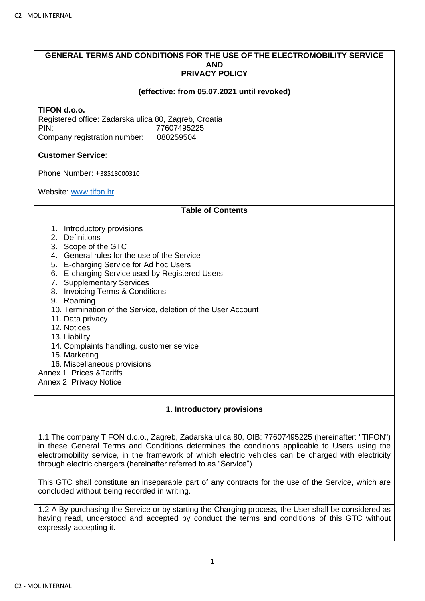#### **GENERAL TERMS AND CONDITIONS FOR THE USE OF THE ELECTROMOBILITY SERVICE AND PRIVACY POLICY**

#### **(effective: from 05.07.2021 until revoked)**

#### **TIFON d.o.o.**

Registered office: Zadarska ulica 80, Zagreb, Croatia PIN: 77607495225 Company registration number: 080259504

## **Customer Service**:

Phone Number: +38518000310

Website: [www.tifon.hr](http://www.tifon.hr/)

#### **Table of Contents**

- 1. Introductory provisions
- 2. Definitions
- 3. Scope of the GTC
- 4. General rules for the use of the Service
- 5. E-charging Service for Ad hoc Users
- 6. E-charging Service used by Registered Users
- 7. Supplementary Services
- 8. Invoicing Terms & Conditions
- 9. Roaming
- 10. Termination of the Service, deletion of the User Account
- 11. Data privacy
- 12. Notices
- 13. Liability
- 14. Complaints handling, customer service
- 15. Marketing
- 16. Miscellaneous provisions
- Annex 1: Prices &Tariffs

Annex 2: Privacy Notice

# **1. Introductory provisions**

1.1 The company TIFON d.o.o., Zagreb, Zadarska ulica 80, OIB: 77607495225 (hereinafter: "TIFON") in these General Terms and Conditions determines the conditions applicable to Users using the electromobility service, in the framework of which electric vehicles can be charged with electricity through electric chargers (hereinafter referred to as "Service").

This GTC shall constitute an inseparable part of any contracts for the use of the Service, which are concluded without being recorded in writing.

1.2 A By purchasing the Service or by starting the Charging process, the User shall be considered as having read, understood and accepted by conduct the terms and conditions of this GTC without expressly accepting it.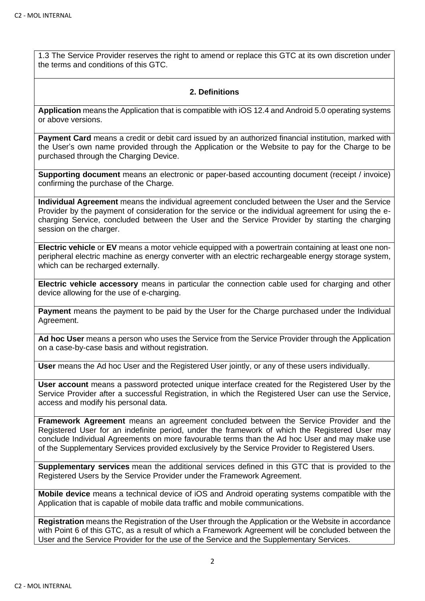1.3 The Service Provider reserves the right to amend or replace this GTC at its own discretion under the terms and conditions of this GTC.

# **2. Definitions**

**Application** means the Application that is compatible with iOS 12.4 and Android 5.0 operating systems or above versions.

**Payment Card** means a credit or debit card issued by an authorized financial institution, marked with the User's own name provided through the Application or the Website to pay for the Charge to be purchased through the Charging Device.

**Supporting document** means an electronic or paper-based accounting document (receipt / invoice) confirming the purchase of the Charge.

**Individual Agreement** means the individual agreement concluded between the User and the Service Provider by the payment of consideration for the service or the individual agreement for using the echarging Service, concluded between the User and the Service Provider by starting the charging session on the charger.

**Electric vehicle** or **EV** means a motor vehicle equipped with a powertrain containing at least one nonperipheral electric machine as energy converter with an electric rechargeable energy storage system, which can be recharged externally.

**Electric vehicle accessory** means in particular the connection cable used for charging and other device allowing for the use of e-charging.

**Payment** means the payment to be paid by the User for the Charge purchased under the Individual Agreement.

**Ad hoc User** means a person who uses the Service from the Service Provider through the Application on a case-by-case basis and without registration.

**User** means the Ad hoc User and the Registered User jointly, or any of these users individually.

**User account** means a password protected unique interface created for the Registered User by the Service Provider after a successful Registration, in which the Registered User can use the Service, access and modify his personal data.

**Framework Agreement** means an agreement concluded between the Service Provider and the Registered User for an indefinite period, under the framework of which the Registered User may conclude Individual Agreements on more favourable terms than the Ad hoc User and may make use of the Supplementary Services provided exclusively by the Service Provider to Registered Users.

**Supplementary services** mean the additional services defined in this GTC that is provided to the Registered Users by the Service Provider under the Framework Agreement.

**Mobile device** means a technical device of iOS and Android operating systems compatible with the Application that is capable of mobile data traffic and mobile communications.

**Registration** means the Registration of the User through the Application or the Website in accordance with Point 6 of this GTC, as a result of which a Framework Agreement will be concluded between the User and the Service Provider for the use of the Service and the Supplementary Services.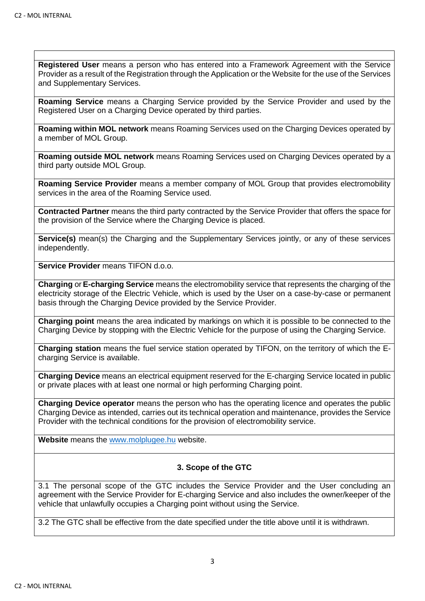**Registered User** means a person who has entered into a Framework Agreement with the Service Provider as a result of the Registration through the Application or the Website for the use of the Services and Supplementary Services.

**Roaming Service** means a Charging Service provided by the Service Provider and used by the Registered User on a Charging Device operated by third parties.

**Roaming within MOL network** means Roaming Services used on the Charging Devices operated by a member of MOL Group.

**Roaming outside MOL network** means Roaming Services used on Charging Devices operated by a third party outside MOL Group.

**Roaming Service Provider** means a member company of MOL Group that provides electromobility services in the area of the Roaming Service used.

**Contracted Partner** means the third party contracted by the Service Provider that offers the space for the provision of the Service where the Charging Device is placed.

**Service(s)** mean(s) the Charging and the Supplementary Services jointly, or any of these services independently.

**Service Provider** means TIFON d.o.o.

**Charging** or **E-charging Service** means the electromobility service that represents the charging of the electricity storage of the Electric Vehicle, which is used by the User on a case-by-case or permanent basis through the Charging Device provided by the Service Provider.

**Charging point** means the area indicated by markings on which it is possible to be connected to the Charging Device by stopping with the Electric Vehicle for the purpose of using the Charging Service.

**Charging station** means the fuel service station operated by TIFON, on the territory of which the Echarging Service is available.

**Charging Device** means an electrical equipment reserved for the E-charging Service located in public or private places with at least one normal or high performing Charging point.

**Charging Device operator** means the person who has the operating licence and operates the public Charging Device as intended, carries out its technical operation and maintenance, provides the Service Provider with the technical conditions for the provision of electromobility service.

**Website** means the [www.molplugee.hu](http://www.molplugee.hu/) website.

## **3. Scope of the GTC**

3.1 The personal scope of the GTC includes the Service Provider and the User concluding an agreement with the Service Provider for E-charging Service and also includes the owner/keeper of the vehicle that unlawfully occupies a Charging point without using the Service.

3.2 The GTC shall be effective from the date specified under the title above until it is withdrawn.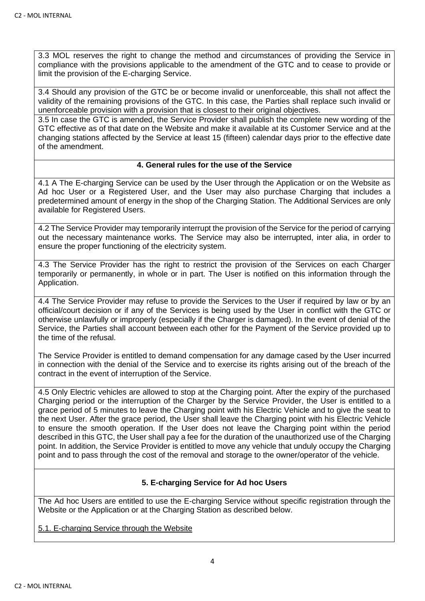3.3 MOL reserves the right to change the method and circumstances of providing the Service in compliance with the provisions applicable to the amendment of the GTC and to cease to provide or limit the provision of the E-charging Service.

3.4 Should any provision of the GTC be or become invalid or unenforceable, this shall not affect the validity of the remaining provisions of the GTC. In this case, the Parties shall replace such invalid or unenforceable provision with a provision that is closest to their original objectives.

3.5 In case the GTC is amended, the Service Provider shall publish the complete new wording of the GTC effective as of that date on the Website and make it available at its Customer Service and at the changing stations affected by the Service at least 15 (fifteen) calendar days prior to the effective date of the amendment.

# **4. General rules for the use of the Service**

4.1 A The E-charging Service can be used by the User through the Application or on the Website as Ad hoc User or a Registered User, and the User may also purchase Charging that includes a predetermined amount of energy in the shop of the Charging Station. The Additional Services are only available for Registered Users.

4.2 The Service Provider may temporarily interrupt the provision of the Service for the period of carrying out the necessary maintenance works. The Service may also be interrupted, inter alia, in order to ensure the proper functioning of the electricity system.

4.3 The Service Provider has the right to restrict the provision of the Services on each Charger temporarily or permanently, in whole or in part. The User is notified on this information through the Application.

4.4 The Service Provider may refuse to provide the Services to the User if required by law or by an official/court decision or if any of the Services is being used by the User in conflict with the GTC or otherwise unlawfully or improperly (especially if the Charger is damaged). In the event of denial of the Service, the Parties shall account between each other for the Payment of the Service provided up to the time of the refusal.

The Service Provider is entitled to demand compensation for any damage cased by the User incurred in connection with the denial of the Service and to exercise its rights arising out of the breach of the contract in the event of interruption of the Service.

4.5 Only Electric vehicles are allowed to stop at the Charging point. After the expiry of the purchased Charging period or the interruption of the Charger by the Service Provider, the User is entitled to a grace period of 5 minutes to leave the Charging point with his Electric Vehicle and to give the seat to the next User. After the grace period, the User shall leave the Charging point with his Electric Vehicle to ensure the smooth operation. If the User does not leave the Charging point within the period described in this GTC, the User shall pay a fee for the duration of the unauthorized use of the Charging point. In addition, the Service Provider is entitled to move any vehicle that unduly occupy the Charging point and to pass through the cost of the removal and storage to the owner/operator of the vehicle.

# **5. E-charging Service for Ad hoc Users**

The Ad hoc Users are entitled to use the E-charging Service without specific registration through the Website or the Application or at the Charging Station as described below.

5.1. E-charging Service through the Website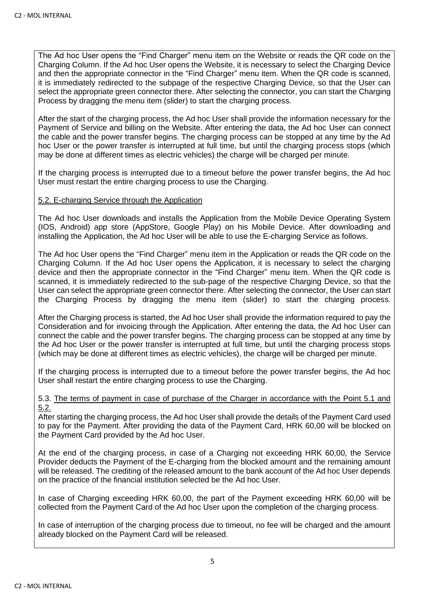The Ad hoc User opens the "Find Charger" menu item on the Website or reads the QR code on the Charging Column. If the Ad hoc User opens the Website, it is necessary to select the Charging Device and then the appropriate connector in the "Find Charger" menu item. When the QR code is scanned, it is immediately redirected to the subpage of the respective Charging Device, so that the User can select the appropriate green connector there. After selecting the connector, you can start the Charging Process by dragging the menu item (slider) to start the charging process.

After the start of the charging process, the Ad hoc User shall provide the information necessary for the Payment of Service and billing on the Website. After entering the data, the Ad hoc User can connect the cable and the power transfer begins. The charging process can be stopped at any time by the Ad hoc User or the power transfer is interrupted at full time, but until the charging process stops (which may be done at different times as electric vehicles) the charge will be charged per minute.

If the charging process is interrupted due to a timeout before the power transfer begins, the Ad hoc User must restart the entire charging process to use the Charging.

## 5.2. E-charging Service through the Application

The Ad hoc User downloads and installs the Application from the Mobile Device Operating System (IOS, Android) app store (AppStore, Google Play) on his Mobile Device. After downloading and installing the Application, the Ad hoc User will be able to use the E-charging Service as follows.

The Ad hoc User opens the "Find Charger" menu item in the Application or reads the QR code on the Charging Column. If the Ad hoc User opens the Application, it is necessary to select the charging device and then the appropriate connector in the "Find Charger" menu item. When the QR code is scanned, it is immediately redirected to the sub-page of the respective Charging Device, so that the User can select the appropriate green connector there. After selecting the connector, the User can start the Charging Process by dragging the menu item (slider) to start the charging process.

After the Charging process is started, the Ad hoc User shall provide the information required to pay the Consideration and for invoicing through the Application. After entering the data, the Ad hoc User can connect the cable and the power transfer begins. The charging process can be stopped at any time by the Ad hoc User or the power transfer is interrupted at full time, but until the charging process stops (which may be done at different times as electric vehicles), the charge will be charged per minute.

If the charging process is interrupted due to a timeout before the power transfer begins, the Ad hoc User shall restart the entire charging process to use the Charging.

## 5.3. The terms of payment in case of purchase of the Charger in accordance with the Point 5.1 and 5.2.

After starting the charging process, the Ad hoc User shall provide the details of the Payment Card used to pay for the Payment. After providing the data of the Payment Card, HRK 60,00 will be blocked on the Payment Card provided by the Ad hoc User.

At the end of the charging process, in case of a Charging not exceeding HRK 60,00, the Service Provider deducts the Payment of the E-charging from the blocked amount and the remaining amount will be released. The crediting of the released amount to the bank account of the Ad hoc User depends on the practice of the financial institution selected be the Ad hoc User.

In case of Charging exceeding HRK 60,00, the part of the Payment exceeding HRK 60,00 will be collected from the Payment Card of the Ad hoc User upon the completion of the charging process.

In case of interruption of the charging process due to timeout, no fee will be charged and the amount already blocked on the Payment Card will be released.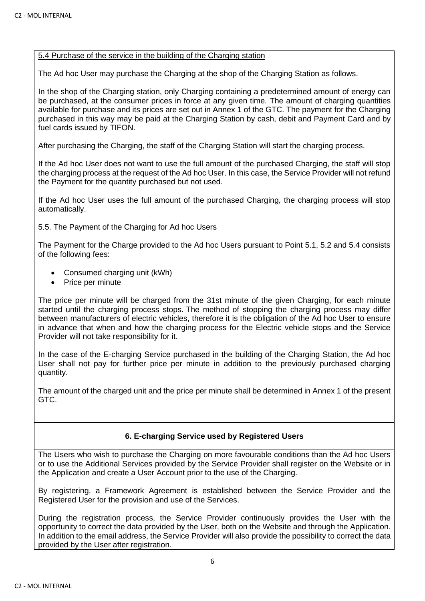#### 5.4 Purchase of the service in the building of the Charging station

The Ad hoc User may purchase the Charging at the shop of the Charging Station as follows.

In the shop of the Charging station, only Charging containing a predetermined amount of energy can be purchased, at the consumer prices in force at any given time. The amount of charging quantities available for purchase and its prices are set out in Annex 1 of the GTC. The payment for the Charging purchased in this way may be paid at the Charging Station by cash, debit and Payment Card and by fuel cards issued by TIFON.

After purchasing the Charging, the staff of the Charging Station will start the charging process.

If the Ad hoc User does not want to use the full amount of the purchased Charging, the staff will stop the charging process at the request of the Ad hoc User. In this case, the Service Provider will not refund the Payment for the quantity purchased but not used.

If the Ad hoc User uses the full amount of the purchased Charging, the charging process will stop automatically.

## 5.5. The Payment of the Charging for Ad hoc Users

The Payment for the Charge provided to the Ad hoc Users pursuant to Point 5.1, 5.2 and 5.4 consists of the following fees:

- Consumed charging unit (kWh)
- Price per minute

The price per minute will be charged from the 31st minute of the given Charging, for each minute started until the charging process stops. The method of stopping the charging process may differ between manufacturers of electric vehicles, therefore it is the obligation of the Ad hoc User to ensure in advance that when and how the charging process for the Electric vehicle stops and the Service Provider will not take responsibility for it.

In the case of the E-charging Service purchased in the building of the Charging Station, the Ad hoc User shall not pay for further price per minute in addition to the previously purchased charging quantity.

The amount of the charged unit and the price per minute shall be determined in Annex 1 of the present GTC.

# **6. E-charging Service used by Registered Users**

The Users who wish to purchase the Charging on more favourable conditions than the Ad hoc Users or to use the Additional Services provided by the Service Provider shall register on the Website or in the Application and create a User Account prior to the use of the Charging.

By registering, a Framework Agreement is established between the Service Provider and the Registered User for the provision and use of the Services.

During the registration process, the Service Provider continuously provides the User with the opportunity to correct the data provided by the User, both on the Website and through the Application. In addition to the email address, the Service Provider will also provide the possibility to correct the data provided by the User after registration.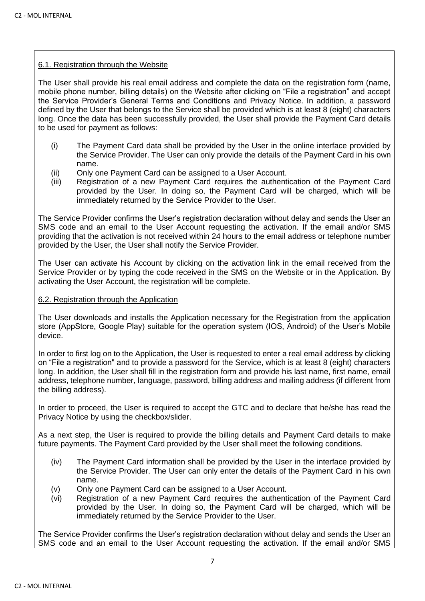## 6.1. Registration through the Website

The User shall provide his real email address and complete the data on the registration form (name, mobile phone number, billing details) on the Website after clicking on "File a registration" and accept the Service Provider's General Terms and Conditions and Privacy Notice. In addition, a password defined by the User that belongs to the Service shall be provided which is at least 8 (eight) characters long. Once the data has been successfully provided, the User shall provide the Payment Card details to be used for payment as follows:

- (i) The Payment Card data shall be provided by the User in the online interface provided by the Service Provider. The User can only provide the details of the Payment Card in his own name.
- (ii) Only one Payment Card can be assigned to a User Account.
- (iii) Registration of a new Payment Card requires the authentication of the Payment Card provided by the User. In doing so, the Payment Card will be charged, which will be immediately returned by the Service Provider to the User.

The Service Provider confirms the User's registration declaration without delay and sends the User an SMS code and an email to the User Account requesting the activation. If the email and/or SMS providing that the activation is not received within 24 hours to the email address or telephone number provided by the User, the User shall notify the Service Provider.

The User can activate his Account by clicking on the activation link in the email received from the Service Provider or by typing the code received in the SMS on the Website or in the Application. By activating the User Account, the registration will be complete.

#### 6.2. Registration through the Application

The User downloads and installs the Application necessary for the Registration from the application store (AppStore, Google Play) suitable for the operation system (IOS, Android) of the User's Mobile device.

In order to first log on to the Application, the User is requested to enter a real email address by clicking on "File a registration" and to provide a password for the Service, which is at least 8 (eight) characters long. In addition, the User shall fill in the registration form and provide his last name, first name, email address, telephone number, language, password, billing address and mailing address (if different from the billing address).

In order to proceed, the User is required to accept the GTC and to declare that he/she has read the Privacy Notice by using the checkbox/slider.

As a next step, the User is required to provide the billing details and Payment Card details to make future payments. The Payment Card provided by the User shall meet the following conditions.

- (iv) The Payment Card information shall be provided by the User in the interface provided by the Service Provider. The User can only enter the details of the Payment Card in his own name.
- (v) Only one Payment Card can be assigned to a User Account.
- (vi) Registration of a new Payment Card requires the authentication of the Payment Card provided by the User. In doing so, the Payment Card will be charged, which will be immediately returned by the Service Provider to the User.

The Service Provider confirms the User's registration declaration without delay and sends the User an SMS code and an email to the User Account requesting the activation. If the email and/or SMS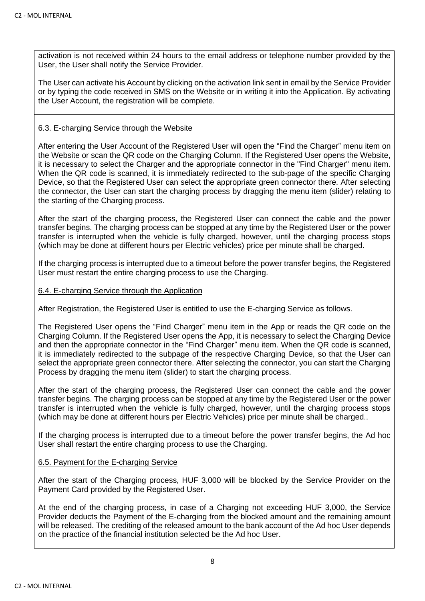activation is not received within 24 hours to the email address or telephone number provided by the User, the User shall notify the Service Provider.

The User can activate his Account by clicking on the activation link sent in email by the Service Provider or by typing the code received in SMS on the Website or in writing it into the Application. By activating the User Account, the registration will be complete.

# 6.3. E-charging Service through the Website

After entering the User Account of the Registered User will open the "Find the Charger" menu item on the Website or scan the QR code on the Charging Column. If the Registered User opens the Website, it is necessary to select the Charger and the appropriate connector in the "Find Charger" menu item. When the QR code is scanned, it is immediately redirected to the sub-page of the specific Charging Device, so that the Registered User can select the appropriate green connector there. After selecting the connector, the User can start the charging process by dragging the menu item (slider) relating to the starting of the Charging process.

After the start of the charging process, the Registered User can connect the cable and the power transfer begins. The charging process can be stopped at any time by the Registered User or the power transfer is interrupted when the vehicle is fully charged, however, until the charging process stops (which may be done at different hours per Electric vehicles) price per minute shall be charged.

If the charging process is interrupted due to a timeout before the power transfer begins, the Registered User must restart the entire charging process to use the Charging.

## 6.4. E-charging Service through the Application

After Registration, the Registered User is entitled to use the E-charging Service as follows.

The Registered User opens the "Find Charger" menu item in the App or reads the QR code on the Charging Column. If the Registered User opens the App, it is necessary to select the Charging Device and then the appropriate connector in the "Find Charger" menu item. When the QR code is scanned, it is immediately redirected to the subpage of the respective Charging Device, so that the User can select the appropriate green connector there. After selecting the connector, you can start the Charging Process by dragging the menu item (slider) to start the charging process.

After the start of the charging process, the Registered User can connect the cable and the power transfer begins. The charging process can be stopped at any time by the Registered User or the power transfer is interrupted when the vehicle is fully charged, however, until the charging process stops (which may be done at different hours per Electric Vehicles) price per minute shall be charged..

If the charging process is interrupted due to a timeout before the power transfer begins, the Ad hoc User shall restart the entire charging process to use the Charging.

## 6.5. Payment for the E-charging Service

After the start of the Charging process, HUF 3,000 will be blocked by the Service Provider on the Payment Card provided by the Registered User.

At the end of the charging process, in case of a Charging not exceeding HUF 3,000, the Service Provider deducts the Payment of the E-charging from the blocked amount and the remaining amount will be released. The crediting of the released amount to the bank account of the Ad hoc User depends on the practice of the financial institution selected be the Ad hoc User.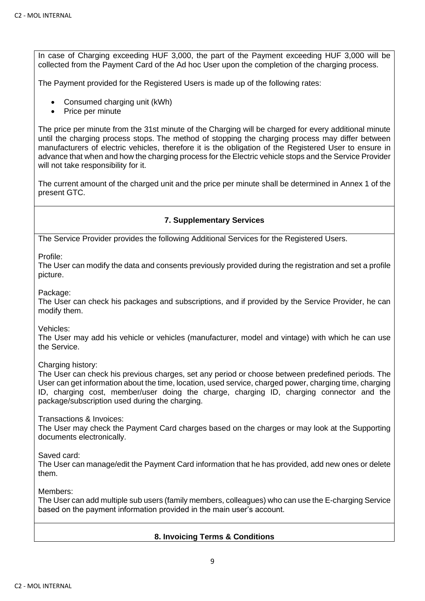In case of Charging exceeding HUF 3,000, the part of the Payment exceeding HUF 3,000 will be collected from the Payment Card of the Ad hoc User upon the completion of the charging process.

The Payment provided for the Registered Users is made up of the following rates:

- Consumed charging unit (kWh)
- Price per minute

The price per minute from the 31st minute of the Charging will be charged for every additional minute until the charging process stops. The method of stopping the charging process may differ between manufacturers of electric vehicles, therefore it is the obligation of the Registered User to ensure in advance that when and how the charging process for the Electric vehicle stops and the Service Provider will not take responsibility for it.

The current amount of the charged unit and the price per minute shall be determined in Annex 1 of the present GTC.

# **7. Supplementary Services**

The Service Provider provides the following Additional Services for the Registered Users.

Profile:

The User can modify the data and consents previously provided during the registration and set a profile picture.

Package:

The User can check his packages and subscriptions, and if provided by the Service Provider, he can modify them.

Vehicles:

The User may add his vehicle or vehicles (manufacturer, model and vintage) with which he can use the Service.

Charging history:

The User can check his previous charges, set any period or choose between predefined periods. The User can get information about the time, location, used service, charged power, charging time, charging ID, charging cost, member/user doing the charge, charging ID, charging connector and the package/subscription used during the charging.

Transactions & Invoices:

The User may check the Payment Card charges based on the charges or may look at the Supporting documents electronically.

Saved card:

The User can manage/edit the Payment Card information that he has provided, add new ones or delete them.

Members:

The User can add multiple sub users (family members, colleagues) who can use the E-charging Service based on the payment information provided in the main user's account.

# **8. Invoicing Terms & Conditions**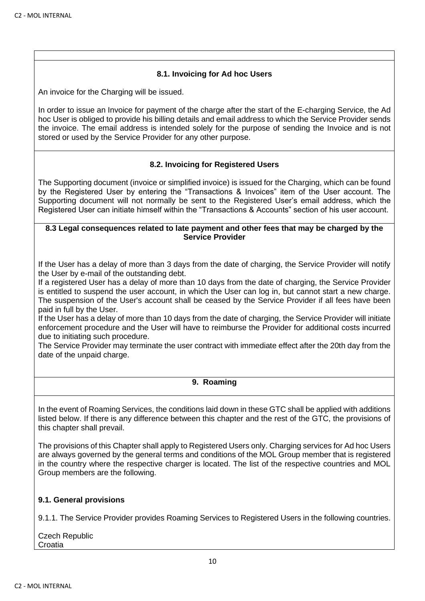# **8.1. Invoicing for Ad hoc Users**

An invoice for the Charging will be issued.

In order to issue an Invoice for payment of the charge after the start of the E-charging Service, the Ad hoc User is obliged to provide his billing details and email address to which the Service Provider sends the invoice. The email address is intended solely for the purpose of sending the Invoice and is not stored or used by the Service Provider for any other purpose.

# **8.2. Invoicing for Registered Users**

The Supporting document (invoice or simplified invoice) is issued for the Charging, which can be found by the Registered User by entering the "Transactions & Invoices" item of the User account. The Supporting document will not normally be sent to the Registered User's email address, which the Registered User can initiate himself within the "Transactions & Accounts" section of his user account.

#### **8.3 Legal consequences related to late payment and other fees that may be charged by the Service Provider**

If the User has a delay of more than 3 days from the date of charging, the Service Provider will notify the User by e-mail of the outstanding debt.

If a registered User has a delay of more than 10 days from the date of charging, the Service Provider is entitled to suspend the user account, in which the User can log in, but cannot start a new charge. The suspension of the User's account shall be ceased by the Service Provider if all fees have been paid in full by the User.

If the User has a delay of more than 10 days from the date of charging, the Service Provider will initiate enforcement procedure and the User will have to reimburse the Provider for additional costs incurred due to initiating such procedure.

The Service Provider may terminate the user contract with immediate effect after the 20th day from the date of the unpaid charge.

# **9. Roaming**

In the event of Roaming Services, the conditions laid down in these GTC shall be applied with additions listed below. If there is any difference between this chapter and the rest of the GTC, the provisions of this chapter shall prevail.

The provisions of this Chapter shall apply to Registered Users only. Charging services for Ad hoc Users are always governed by the general terms and conditions of the MOL Group member that is registered in the country where the respective charger is located. The list of the respective countries and MOL Group members are the following.

# **9.1. General provisions**

9.1.1. The Service Provider provides Roaming Services to Registered Users in the following countries.

Czech Republic Croatia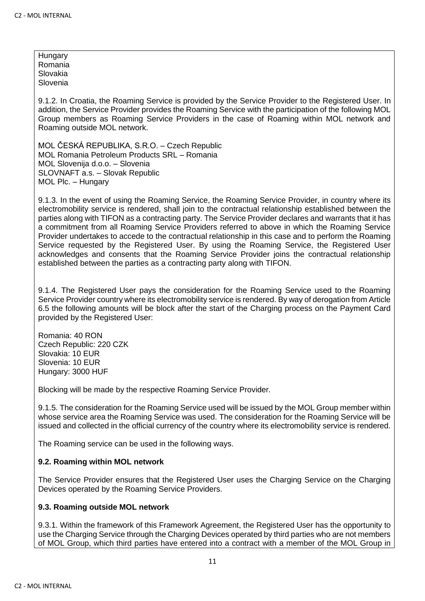**Hungary** Romania Slovakia Slovenia

9.1.2. In Croatia, the Roaming Service is provided by the Service Provider to the Registered User. In addition, the Service Provider provides the Roaming Service with the participation of the following MOL Group members as Roaming Service Providers in the case of Roaming within MOL network and Roaming outside MOL network.

MOL ČESKÁ REPUBLIKA, S.R.O. – Czech Republic MOL Romania Petroleum Products SRL – Romania MOL Slovenija d.o.o. – Slovenia SLOVNAFT a.s. – Slovak Republic MOL Plc. – Hungary

9.1.3. In the event of using the Roaming Service, the Roaming Service Provider, in country where its electromobility service is rendered, shall join to the contractual relationship established between the parties along with TIFON as a contracting party. The Service Provider declares and warrants that it has a commitment from all Roaming Service Providers referred to above in which the Roaming Service Provider undertakes to accede to the contractual relationship in this case and to perform the Roaming Service requested by the Registered User. By using the Roaming Service, the Registered User acknowledges and consents that the Roaming Service Provider joins the contractual relationship established between the parties as a contracting party along with TIFON.

9.1.4. The Registered User pays the consideration for the Roaming Service used to the Roaming Service Provider country where its electromobility service is rendered. By way of derogation from Article 6.5 the following amounts will be block after the start of the Charging process on the Payment Card provided by the Registered User:

Romania: 40 RON Czech Republic: 220 CZK Slovakia: 10 EUR Slovenia: 10 EUR Hungary: 3000 HUF

Blocking will be made by the respective Roaming Service Provider.

9.1.5. The consideration for the Roaming Service used will be issued by the MOL Group member within whose service area the Roaming Service was used. The consideration for the Roaming Service will be issued and collected in the official currency of the country where its electromobility service is rendered.

The Roaming service can be used in the following ways.

## **9.2. Roaming within MOL network**

The Service Provider ensures that the Registered User uses the Charging Service on the Charging Devices operated by the Roaming Service Providers.

## **9.3. Roaming outside MOL network**

9.3.1. Within the framework of this Framework Agreement, the Registered User has the opportunity to use the Charging Service through the Charging Devices operated by third parties who are not members of MOL Group, which third parties have entered into a contract with a member of the MOL Group in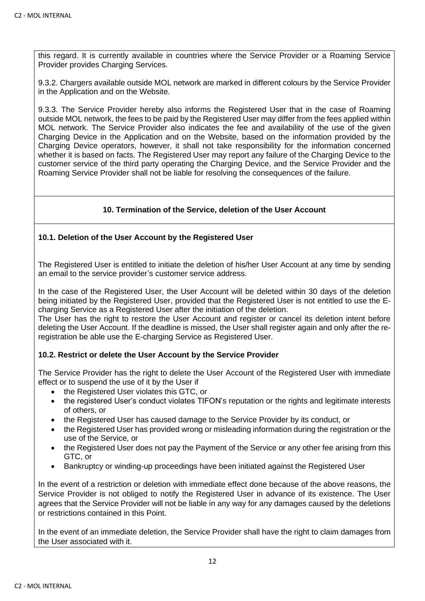this regard. It is currently available in countries where the Service Provider or a Roaming Service Provider provides Charging Services.

9.3.2. Chargers available outside MOL network are marked in different colours by the Service Provider in the Application and on the Website.

9.3.3. The Service Provider hereby also informs the Registered User that in the case of Roaming outside MOL network, the fees to be paid by the Registered User may differ from the fees applied within MOL network. The Service Provider also indicates the fee and availability of the use of the given Charging Device in the Application and on the Website, based on the information provided by the Charging Device operators, however, it shall not take responsibility for the information concerned whether it is based on facts. The Registered User may report any failure of the Charging Device to the customer service of the third party operating the Charging Device, and the Service Provider and the Roaming Service Provider shall not be liable for resolving the consequences of the failure.

# **10. Termination of the Service, deletion of the User Account**

# **10.1. Deletion of the User Account by the Registered User**

The Registered User is entitled to initiate the deletion of his/her User Account at any time by sending an email to the service provider's customer service address.

In the case of the Registered User, the User Account will be deleted within 30 days of the deletion being initiated by the Registered User, provided that the Registered User is not entitled to use the Echarging Service as a Registered User after the initiation of the deletion.

The User has the right to restore the User Account and register or cancel its deletion intent before deleting the User Account. If the deadline is missed, the User shall register again and only after the reregistration be able use the E-charging Service as Registered User.

## **10.2. Restrict or delete the User Account by the Service Provider**

The Service Provider has the right to delete the User Account of the Registered User with immediate effect or to suspend the use of it by the User if

- the Registered User violates this GTC, or
- the registered User's conduct violates TIFON's reputation or the rights and legitimate interests of others, or
- the Registered User has caused damage to the Service Provider by its conduct, or
- the Registered User has provided wrong or misleading information during the registration or the use of the Service, or
- the Registered User does not pay the Payment of the Service or any other fee arising from this GTC, or
- Bankruptcy or winding-up proceedings have been initiated against the Registered User

In the event of a restriction or deletion with immediate effect done because of the above reasons, the Service Provider is not obliged to notify the Registered User in advance of its existence. The User agrees that the Service Provider will not be liable in any way for any damages caused by the deletions or restrictions contained in this Point.

In the event of an immediate deletion, the Service Provider shall have the right to claim damages from the User associated with it.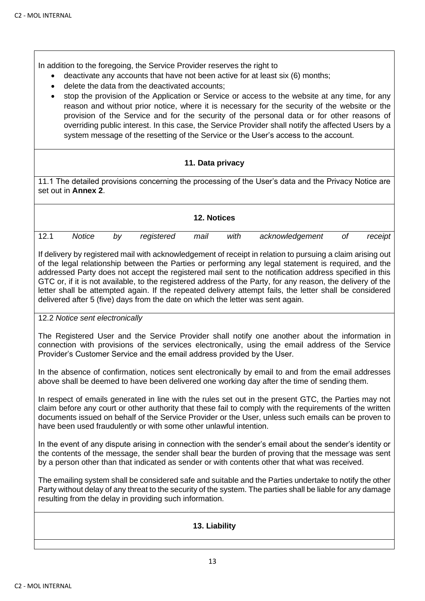In addition to the foregoing, the Service Provider reserves the right to

- deactivate any accounts that have not been active for at least six (6) months;
- delete the data from the deactivated accounts;
- stop the provision of the Application or Service or access to the website at any time, for any reason and without prior notice, where it is necessary for the security of the website or the provision of the Service and for the security of the personal data or for other reasons of overriding public interest. In this case, the Service Provider shall notify the affected Users by a system message of the resetting of the Service or the User's access to the account.

# **11. Data privacy**

11.1 The detailed provisions concerning the processing of the User's data and the Privacy Notice are set out in **Annex 2**.

# **12. Notices**

| 12.1 | Notice | by registered mail | with | acknowledgement of receipt |  |
|------|--------|--------------------|------|----------------------------|--|
|      |        |                    |      |                            |  |

If delivery by registered mail with acknowledgement of receipt in relation to pursuing a claim arising out of the legal relationship between the Parties or performing any legal statement is required, and the addressed Party does not accept the registered mail sent to the notification address specified in this GTC or, if it is not available, to the registered address of the Party, for any reason, the delivery of the letter shall be attempted again. If the repeated delivery attempt fails, the letter shall be considered delivered after 5 (five) days from the date on which the letter was sent again.

12.2 *Notice sent electronically*

The Registered User and the Service Provider shall notify one another about the information in connection with provisions of the services electronically, using the email address of the Service Provider's Customer Service and the email address provided by the User.

In the absence of confirmation, notices sent electronically by email to and from the email addresses above shall be deemed to have been delivered one working day after the time of sending them.

In respect of emails generated in line with the rules set out in the present GTC, the Parties may not claim before any court or other authority that these fail to comply with the requirements of the written documents issued on behalf of the Service Provider or the User, unless such emails can be proven to have been used fraudulently or with some other unlawful intention.

In the event of any dispute arising in connection with the sender's email about the sender's identity or the contents of the message, the sender shall bear the burden of proving that the message was sent by a person other than that indicated as sender or with contents other that what was received.

The emailing system shall be considered safe and suitable and the Parties undertake to notify the other Party without delay of any threat to the security of the system. The parties shall be liable for any damage resulting from the delay in providing such information.

## **13. Liability**

13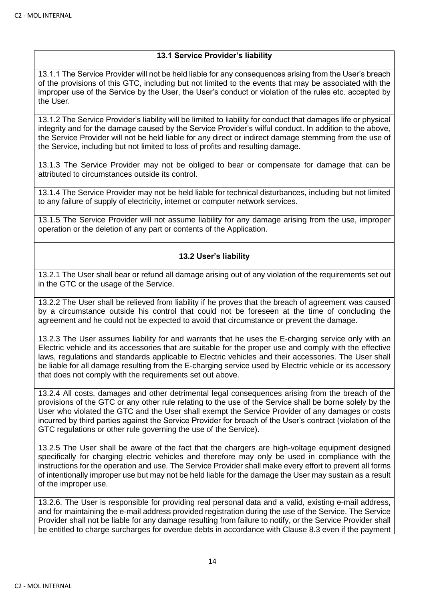# **13.1 Service Provider's liability**

13.1.1 The Service Provider will not be held liable for any consequences arising from the User's breach of the provisions of this GTC, including but not limited to the events that may be associated with the improper use of the Service by the User, the User's conduct or violation of the rules etc. accepted by the User.

13.1.2 The Service Provider's liability will be limited to liability for conduct that damages life or physical integrity and for the damage caused by the Service Provider's wilful conduct. In addition to the above, the Service Provider will not be held liable for any direct or indirect damage stemming from the use of the Service, including but not limited to loss of profits and resulting damage.

13.1.3 The Service Provider may not be obliged to bear or compensate for damage that can be attributed to circumstances outside its control.

13.1.4 The Service Provider may not be held liable for technical disturbances, including but not limited to any failure of supply of electricity, internet or computer network services.

13.1.5 The Service Provider will not assume liability for any damage arising from the use, improper operation or the deletion of any part or contents of the Application.

# **13.2 User's liability**

13.2.1 The User shall bear or refund all damage arising out of any violation of the requirements set out in the GTC or the usage of the Service.

13.2.2 The User shall be relieved from liability if he proves that the breach of agreement was caused by a circumstance outside his control that could not be foreseen at the time of concluding the agreement and he could not be expected to avoid that circumstance or prevent the damage.

13.2.3 The User assumes liability for and warrants that he uses the E-charging service only with an Electric vehicle and its accessories that are suitable for the proper use and comply with the effective laws, regulations and standards applicable to Electric vehicles and their accessories. The User shall be liable for all damage resulting from the E-charging service used by Electric vehicle or its accessory that does not comply with the requirements set out above.

13.2.4 All costs, damages and other detrimental legal consequences arising from the breach of the provisions of the GTC or any other rule relating to the use of the Service shall be borne solely by the User who violated the GTC and the User shall exempt the Service Provider of any damages or costs incurred by third parties against the Service Provider for breach of the User's contract (violation of the GTC regulations or other rule governing the use of the Service).

13.2.5 The User shall be aware of the fact that the chargers are high-voltage equipment designed specifically for charging electric vehicles and therefore may only be used in compliance with the instructions for the operation and use. The Service Provider shall make every effort to prevent all forms of intentionally improper use but may not be held liable for the damage the User may sustain as a result of the improper use.

13.2.6. The User is responsible for providing real personal data and a valid, existing e-mail address, and for maintaining the e-mail address provided registration during the use of the Service. The Service Provider shall not be liable for any damage resulting from failure to notify, or the Service Provider shall be entitled to charge surcharges for overdue debts in accordance with Clause 8.3 even if the payment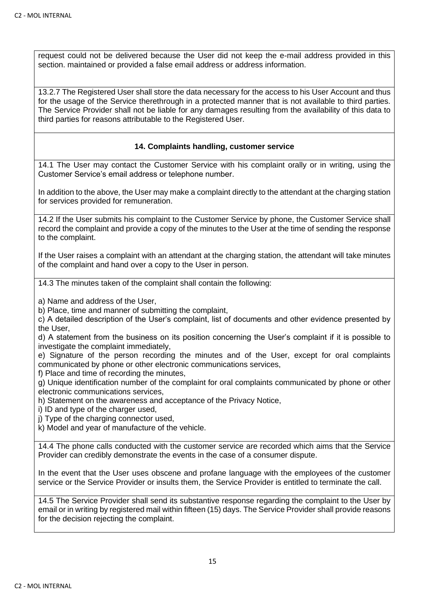request could not be delivered because the User did not keep the e-mail address provided in this section. maintained or provided a false email address or address information.

13.2.7 The Registered User shall store the data necessary for the access to his User Account and thus for the usage of the Service therethrough in a protected manner that is not available to third parties. The Service Provider shall not be liable for any damages resulting from the availability of this data to third parties for reasons attributable to the Registered User.

# **14. Complaints handling, customer service**

14.1 The User may contact the Customer Service with his complaint orally or in writing, using the Customer Service's email address or telephone number.

In addition to the above, the User may make a complaint directly to the attendant at the charging station for services provided for remuneration.

14.2 If the User submits his complaint to the Customer Service by phone, the Customer Service shall record the complaint and provide a copy of the minutes to the User at the time of sending the response to the complaint.

If the User raises a complaint with an attendant at the charging station, the attendant will take minutes of the complaint and hand over a copy to the User in person.

14.3 The minutes taken of the complaint shall contain the following:

a) Name and address of the User,

b) Place, time and manner of submitting the complaint,

c) A detailed description of the User's complaint, list of documents and other evidence presented by the User,

d) A statement from the business on its position concerning the User's complaint if it is possible to investigate the complaint immediately,

e) Signature of the person recording the minutes and of the User, except for oral complaints communicated by phone or other electronic communications services,

f) Place and time of recording the minutes,

g) Unique identification number of the complaint for oral complaints communicated by phone or other electronic communications services,

h) Statement on the awareness and acceptance of the Privacy Notice,

- i) ID and type of the charger used,
- j) Type of the charging connector used,
- k) Model and year of manufacture of the vehicle.

14.4 The phone calls conducted with the customer service are recorded which aims that the Service Provider can credibly demonstrate the events in the case of a consumer dispute.

In the event that the User uses obscene and profane language with the employees of the customer service or the Service Provider or insults them, the Service Provider is entitled to terminate the call.

14.5 The Service Provider shall send its substantive response regarding the complaint to the User by email or in writing by registered mail within fifteen (15) days. The Service Provider shall provide reasons for the decision rejecting the complaint.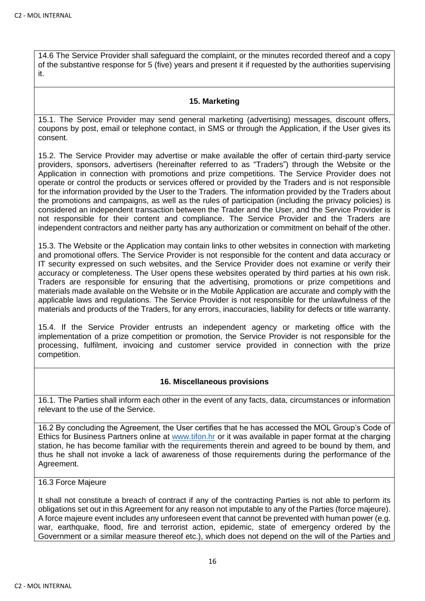14.6 The Service Provider shall safeguard the complaint, or the minutes recorded thereof and a copy of the substantive response for 5 (five) years and present it if requested by the authorities supervising it.

#### **15. Marketing**

15.1. The Service Provider may send general marketing (advertising) messages, discount offers, coupons by post, email or telephone contact, in SMS or through the Application, if the User gives its consent.

15.2. The Service Provider may advertise or make available the offer of certain third-party service providers, sponsors, advertisers (hereinafter referred to as "Traders") through the Website or the Application in connection with promotions and prize competitions. The Service Provider does not operate or control the products or services offered or provided by the Traders and is not responsible for the information provided by the User to the Traders. The information provided by the Traders about the promotions and campaigns, as well as the rules of participation (including the privacy policies) is considered an independent transaction between the Trader and the User, and the Service Provider is not responsible for their content and compliance. The Service Provider and the Traders are independent contractors and neither party has any authorization or commitment on behalf of the other.

15.3. The Website or the Application may contain links to other websites in connection with marketing and promotional offers. The Service Provider is not responsible for the content and data accuracy or IT security expressed on such websites, and the Service Provider does not examine or verify their accuracy or completeness. The User opens these websites operated by third parties at his own risk. Traders are responsible for ensuring that the advertising, promotions or prize competitions and materials made available on the Website or in the Mobile Application are accurate and comply with the applicable laws and regulations. The Service Provider is not responsible for the unlawfulness of the materials and products of the Traders, for any errors, inaccuracies, liability for defects or title warranty.

15.4. If the Service Provider entrusts an independent agency or marketing office with the implementation of a prize competition or promotion, the Service Provider is not responsible for the processing, fulfilment, invoicing and customer service provided in connection with the prize competition.

## **16. Miscellaneous provisions**

16.1. The Parties shall inform each other in the event of any facts, data, circumstances or information relevant to the use of the Service.

16.2 By concluding the Agreement, the User certifies that he has accessed the MOL Group's Code of Ethics for Business Partners online at [www.tifon.hr](http://www.tifon.hr/) or it was available in paper format at the charging station, he has become familiar with the requirements therein and agreed to be bound by them, and thus he shall not invoke a lack of awareness of those requirements during the performance of the Agreement.

#### 16.3 Force Majeure

It shall not constitute a breach of contract if any of the contracting Parties is not able to perform its obligations set out in this Agreement for any reason not imputable to any of the Parties (force majeure). A force majeure event includes any unforeseen event that cannot be prevented with human power (e.g. war, earthquake, flood, fire and terrorist action, epidemic, state of emergency ordered by the Government or a similar measure thereof etc.), which does not depend on the will of the Parties and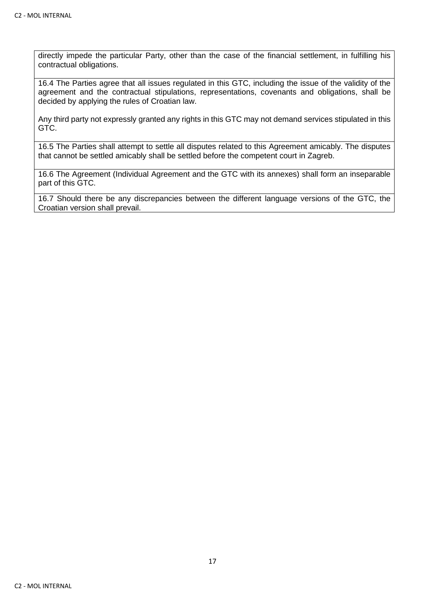directly impede the particular Party, other than the case of the financial settlement, in fulfilling his contractual obligations.

16.4 The Parties agree that all issues regulated in this GTC, including the issue of the validity of the agreement and the contractual stipulations, representations, covenants and obligations, shall be decided by applying the rules of Croatian law.

Any third party not expressly granted any rights in this GTC may not demand services stipulated in this GTC.

16.5 The Parties shall attempt to settle all disputes related to this Agreement amicably. The disputes that cannot be settled amicably shall be settled before the competent court in Zagreb.

16.6 The Agreement (Individual Agreement and the GTC with its annexes) shall form an inseparable part of this GTC.

16.7 Should there be any discrepancies between the different language versions of the GTC, the Croatian version shall prevail.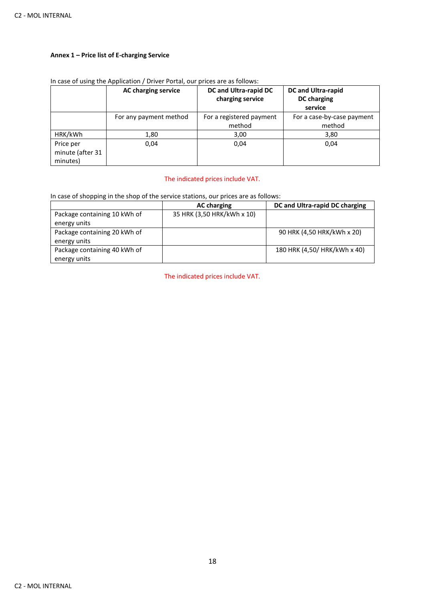#### **Annex 1 – Price list of E-charging Service**

|                                           | <b>AC charging service</b> | DC and Ultra-rapid DC<br>charging service | DC and Ultra-rapid<br><b>DC</b> charging<br>service |
|-------------------------------------------|----------------------------|-------------------------------------------|-----------------------------------------------------|
|                                           | For any payment method     | For a registered payment<br>method        | For a case-by-case payment<br>method                |
| HRK/kWh                                   | 1,80                       | 3,00                                      | 3,80                                                |
| Price per<br>minute (after 31<br>minutes) | 0,04                       | 0,04                                      | 0,04                                                |

In case of using the Application / Driver Portal, our prices are as follows:

#### The indicated prices include VAT.

In case of shopping in the shop of the service stations, our prices are as follows:

|                              | <b>AC charging</b>         | DC and Ultra-rapid DC charging |
|------------------------------|----------------------------|--------------------------------|
| Package containing 10 kWh of | 35 HRK (3,50 HRK/kWh x 10) |                                |
| energy units                 |                            |                                |
| Package containing 20 kWh of |                            | 90 HRK (4,50 HRK/kWh x 20)     |
| energy units                 |                            |                                |
| Package containing 40 kWh of |                            | 180 HRK (4,50/ HRK/kWh x 40)   |
| energy units                 |                            |                                |

The indicated prices include VAT.